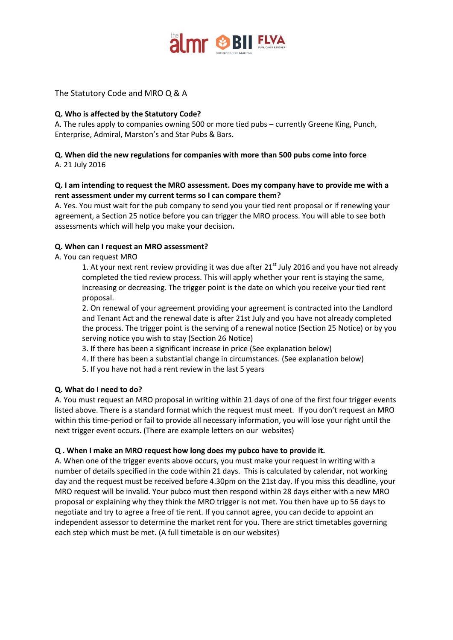

## The Statutory Code and MRO Q & A

### **Q. Who is affected by the Statutory Code?**

A. The rules apply to companies owning 500 or more tied pubs – currently Greene King, Punch, Enterprise, Admiral, Marston's and Star Pubs & Bars.

### **Q. When did the new regulations for companies with more than 500 pubs come into force** A. 21 July 2016

# **Q. I am intending to request the MRO assessment. Does my company have to provide me with a rent assessment under my current terms so I can compare them?**

A. Yes. You must wait for the pub company to send you your tied rent proposal or if renewing your agreement, a Section 25 notice before you can trigger the MRO process. You will able to see both assessments which will help you make your decision**.**

## **Q. When can I request an MRO assessment?**

A. You can request MRO

1. At your next rent review providing it was due after  $21<sup>st</sup>$  July 2016 and you have not already completed the tied review process. This will apply whether your rent is staying the same, increasing or decreasing. The trigger point is the date on which you receive your tied rent proposal.

2. On renewal of your agreement providing your agreement is contracted into the Landlord and Tenant Act and the renewal date is after 21st July and you have not already completed the process. The trigger point is the serving of a renewal notice (Section 25 Notice) or by you serving notice you wish to stay (Section 26 Notice)

3. If there has been a significant increase in price (See explanation below)

4. If there has been a substantial change in circumstances. (See explanation below)

5. If you have not had a rent review in the last 5 years

### **Q. What do I need to do?**

A. You must request an MRO proposal in writing within 21 days of one of the first four trigger events listed above. There is a standard format which the request must meet. If you don't request an MRO within this time-period or fail to provide all necessary information, you will lose your right until the next trigger event occurs. (There are example letters on our websites)

### **Q . When I make an MRO request how long does my pubco have to provide it.**

A. When one of the trigger events above occurs, you must make your request in writing with a number of details specified in the code within 21 days. This is calculated by calendar, not working day and the request must be received before 4.30pm on the 21st day. If you miss this deadline, your MRO request will be invalid. Your pubco must then respond within 28 days either with a new MRO proposal or explaining why they think the MRO trigger is not met. You then have up to 56 days to negotiate and try to agree a free of tie rent. If you cannot agree, you can decide to appoint an independent assessor to determine the market rent for you. There are strict timetables governing each step which must be met. (A full timetable is on our websites)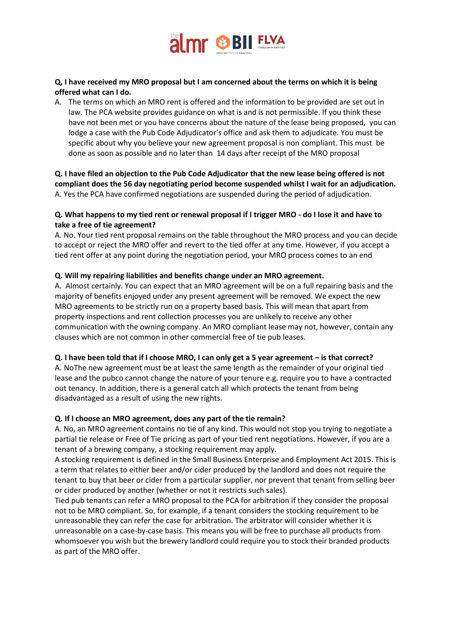

## **Q, I have received my MRO proposal but I am concerned about the terms on which it is being offered what can I do.**

A. The terms on which an MRO rent is offered and the information to be provided are set out in law. The PCA website provides guidance on what is and is not permissible. If you think these have not been met or you have concerns about the nature of the lease being proposed, you can lodge a case with the Pub Code Adjudicator's office and ask them to adjudicate. You must be specific about why you believe your new agreement proposal is non compliant. This must be done as soon as possible and no later than 14 days after receipt of the MRO proposal

**Q. I have filed an objection to the Pub Code Adjudicator that the new lease being offered is not compliant does the 56 day negotiating period become suspended whilst I wait for an adjudication.** A. Yes the PCA have confirmed negotiations are suspended during the period of adjudication.

## **Q. What happens to my tied rent or renewal proposal if I trigger MRO - do I lose it and have to take a free of tie agreement?**

A. No. Your tied rent proposal remains on the table throughout the MRO process and you can decide to accept or reject the MRO offer and revert to the tied offer at any time. However, if you accept a tied rent offer at any point during the negotiation period, your MRO process comes to an end

## **Q. Will my repairing liabilities and benefits change under an MRO agreement.**

A. Almost certainly. You can expect that an MRO agreement will be on a full repairing basis and the majority of benefits enjoyed under any present agreement will be removed. We expect the new MRO agreements to be strictly run on a property based basis. This will mean that apart from property inspections and rent collection processes you are unlikely to receive any other communication with the owning company. An MRO compliant lease may not, however, contain any clauses which are not common in other commercial free of tie pub leases.

### **Q. I have been told that if I choose MRO, I can only get a 5 year agreement – is that correct?**

A. NoThe new agreement must be at least the same length as the remainder of your original tied lease and the pubco cannot change the nature of your tenure e.g. require you to have a contracted out tenancy. In addition, there is a general catch all which protects the tenant from being disadvantaged as a result of using the new rights.

### **Q. If I choose an MRO agreement, does any part of the tie remain?**

A. No, an MRO agreement contains no tie of any kind. This would not stop you trying to negotiate a partial tie release or Free of Tie pricing as part of your tied rent negotiations. However, if you are a tenant of a brewing company, a stocking requirement may apply.

A stocking requirement is defined in the Small Business Enterprise and Employment Act 2015. This is a term that relates to either beer and/or cider produced by the landlord and does not require the tenant to buy that beer or cider from a particular supplier, nor prevent that tenant from selling beer or cider produced by another (whether or not it restricts such sales).

Tied pub tenants can refer a MRO proposal to the PCA for arbitration if they consider the proposal not to be MRO compliant. So, for example, if a tenant considers the stocking requirement to be unreasonable they can refer the case for arbitration. The arbitrator will consider whether it is unreasonable on a case-by-case basis. This means you will be free to purchase all products from whomsoever you wish but the brewery landlord could require you to stock their branded products as part of the MRO offer.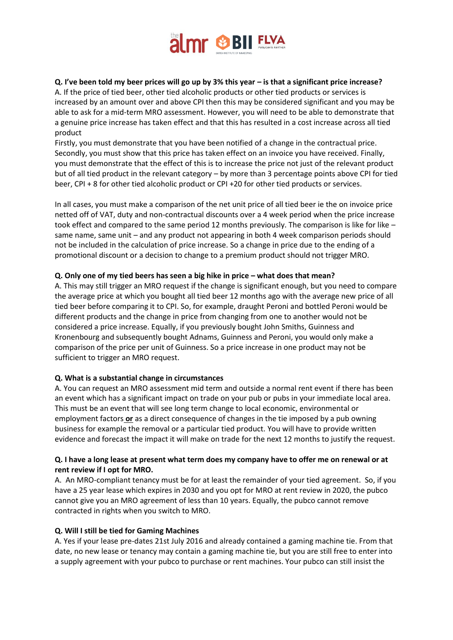

## **Q. I've been told my beer prices will go up by 3% this year – is that a significant price increase?**

A. If the price of tied beer, other tied alcoholic products or other tied products or services is increased by an amount over and above CPI then this may be considered significant and you may be able to ask for a mid-term MRO assessment. However, you will need to be able to demonstrate that a genuine price increase has taken effect and that this has resulted in a cost increase across all tied product

Firstly, you must demonstrate that you have been notified of a change in the contractual price. Secondly, you must show that this price has taken effect on an invoice you have received. Finally, you must demonstrate that the effect of this is to increase the price not just of the relevant product but of all tied product in the relevant category – by more than 3 percentage points above CPI for tied beer, CPI + 8 for other tied alcoholic product or CPI +20 for other tied products or services.

In all cases, you must make a comparison of the net unit price of all tied beer ie the on invoice price netted off of VAT, duty and non-contractual discounts over a 4 week period when the price increase took effect and compared to the same period 12 months previously. The comparison is like for like – same name, same unit – and any product not appearing in both 4 week comparison periods should not be included in the calculation of price increase. So a change in price due to the ending of a promotional discount or a decision to change to a premium product should not trigger MRO.

### **Q. Only one of my tied beers has seen a big hike in price – what does that mean?**

A. This may still trigger an MRO request if the change is significant enough, but you need to compare the average price at which you bought all tied beer 12 months ago with the average new price of all tied beer before comparing it to CPI. So, for example, draught Peroni and bottled Peroni would be different products and the change in price from changing from one to another would not be considered a price increase. Equally, if you previously bought John Smiths, Guinness and Kronenbourg and subsequently bought Adnams, Guinness and Peroni, you would only make a comparison of the price per unit of Guinness. So a price increase in one product may not be sufficient to trigger an MRO request.

### **Q. What is a substantial change in circumstances**

A. You can request an MRO assessment mid term and outside a normal rent event if there has been an event which has a significant impact on trade on your pub or pubs in your immediate local area. This must be an event that will see long term change to local economic, environmental or employment factors **or** as a direct consequence of changes in the tie imposed by a pub owning business for example the removal or a particular tied product. You will have to provide written evidence and forecast the impact it will make on trade for the next 12 months to justify the request.

## **Q. I have a long lease at present what term does my company have to offer me on renewal or at rent review if I opt for MRO.**

A. An MRO-compliant tenancy must be for at least the remainder of your tied agreement. So, if you have a 25 year lease which expires in 2030 and you opt for MRO at rent review in 2020, the pubco cannot give you an MRO agreement of less than 10 years. Equally, the pubco cannot remove contracted in rights when you switch to MRO.

### **Q. Will I still be tied for Gaming Machines**

A. Yes if your lease pre-dates 21st July 2016 and already contained a gaming machine tie. From that date, no new lease or tenancy may contain a gaming machine tie, but you are still free to enter into a supply agreement with your pubco to purchase or rent machines. Your pubco can still insist the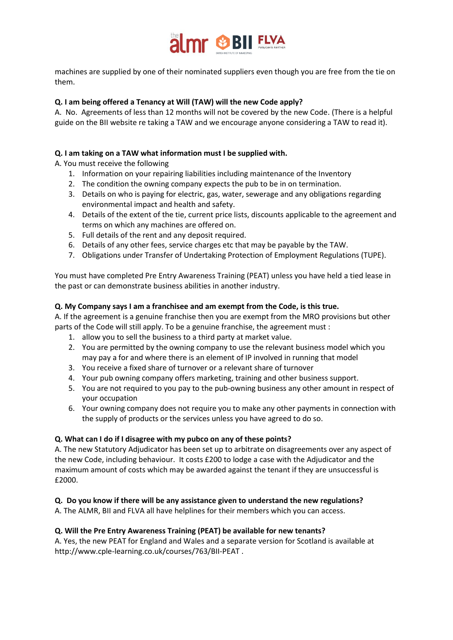

machines are supplied by one of their nominated suppliers even though you are free from the tie on them.

## **Q. I am being offered a Tenancy at Will (TAW) will the new Code apply?**

A. No. Agreements of less than 12 months will not be covered by the new Code. (There is a helpful guide on the BII website re taking a TAW and we encourage anyone considering a TAW to read it).

## **Q. I am taking on a TAW what information must I be supplied with.**

A. You must receive the following

- 1. Information on your repairing liabilities including maintenance of the Inventory
- 2. The condition the owning company expects the pub to be in on termination.
- 3. Details on who is paying for electric, gas, water, sewerage and any obligations regarding environmental impact and health and safety.
- 4. Details of the extent of the tie, current price lists, discounts applicable to the agreement and terms on which any machines are offered on.
- 5. Full details of the rent and any deposit required.
- 6. Details of any other fees, service charges etc that may be payable by the TAW.
- 7. Obligations under Transfer of Undertaking Protection of Employment Regulations (TUPE).

You must have completed Pre Entry Awareness Training (PEAT) unless you have held a tied lease in the past or can demonstrate business abilities in another industry.

## **Q. My Company says I am a franchisee and am exempt from the Code, is this true.**

A. If the agreement is a genuine franchise then you are exempt from the MRO provisions but other parts of the Code will still apply. To be a genuine franchise, the agreement must :

- 1. allow you to sell the business to a third party at market value.
- 2. You are permitted by the owning company to use the relevant business model which you may pay a for and where there is an element of IP involved in running that model
- 3. You receive a fixed share of turnover or a relevant share of turnover
- 4. Your pub owning company offers marketing, training and other business support.
- 5. You are not required to you pay to the pub-owning business any other amount in respect of your occupation
- 6. Your owning company does not require you to make any other payments in connection with the supply of products or the services unless you have agreed to do so.

### **Q. What can I do if I disagree with my pubco on any of these points?**

A. The new Statutory Adjudicator has been set up to arbitrate on disagreements over any aspect of the new Code, including behaviour. It costs £200 to lodge a case with the Adjudicator and the maximum amount of costs which may be awarded against the tenant if they are unsuccessful is £2000.

# **Q. Do you know if there will be any assistance given to understand the new regulations?**

A. The ALMR, BII and FLVA all have helplines for their members which you can access.

### **Q. Will the Pre Entry Awareness Training (PEAT) be available for new tenants?**

A. Yes, the new PEAT for England and Wales and a separate version for Scotland is available at http://www.cple-learning.co.uk/courses/763/BII-PEAT .